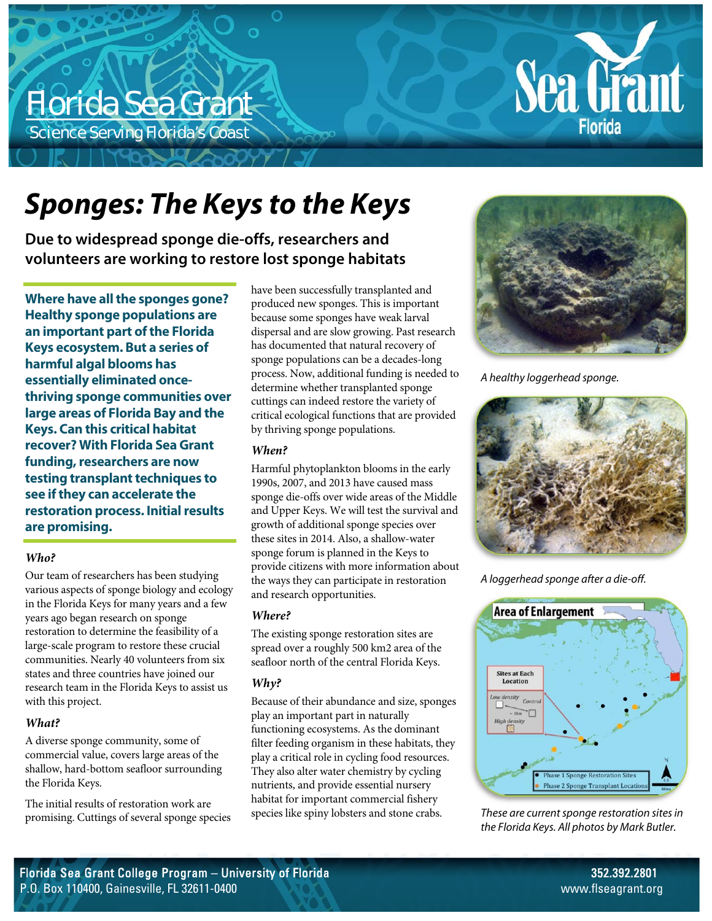# Florida Sea Grant

Science Serving Florida's Coast



**Due to widespread sponge die-offs, researchers and volunteers are working to restore lost sponge habitats** 

**Where have all the sponges gone? Healthy sponge populations are an important part of the Florida Keys ecosystem. But a series of harmful algal blooms has essentially eliminated oncethriving sponge communities over large areas of Florida Bay and the Keys. Can this critical habitat recover? With Florida Sea Grant funding, researchers are now testing transplant techniques to see if they can accelerate the restoration process. Initial results are promising.** 

# *Who?*

Our team of researchers has been studying various aspects of sponge biology and ecology in the Florida Keys for many years and a few years ago began research on sponge restoration to determine the feasibility of a large-scale program to restore these crucial communities. Nearly 40 volunteers from six states and three countries have joined our research team in the Florida Keys to assist us with this project.

# *What?*

A diverse sponge community, some of commercial value, covers large areas of the shallow, hard-bottom seafloor surrounding the Florida Keys.

The initial results of restoration work are promising. Cuttings of several sponge species have been successfully transplanted and produced new sponges. This is important because some sponges have weak larval dispersal and are slow growing. Past research has documented that natural recovery of sponge populations can be a decades-long process. Now, additional funding is needed to determine whether transplanted sponge cuttings can indeed restore the variety of critical ecological functions that are provided by thriving sponge populations.

## *When?*

Harmful phytoplankton blooms in the early 1990s, 2007, and 2013 have caused mass sponge die-offs over wide areas of the Middle and Upper Keys. We will test the survival and growth of additional sponge species over these sites in 2014. Also, a shallow-water sponge forum is planned in the Keys to provide citizens with more information about the ways they can participate in restoration and research opportunities.

# *Where?*

The existing sponge restoration sites are spread over a roughly 500 km2 area of the seafloor north of the central Florida Keys.

# *Why?*

Because of their abundance and size, sponges play an important part in naturally functioning ecosystems. As the dominant filter feeding organism in these habitats, they play a critical role in cycling food resources. They also alter water chemistry by cycling nutrients, and provide essential nursery habitat for important commercial fishery species like spiny lobsters and stone crabs.



Sea Grant

**Florida** 

A healthy loggerhead sponge.



A loggerhead sponge after a die-off.



These are current sponge restoration sites in the Florida Keys. All photos by Mark Butler.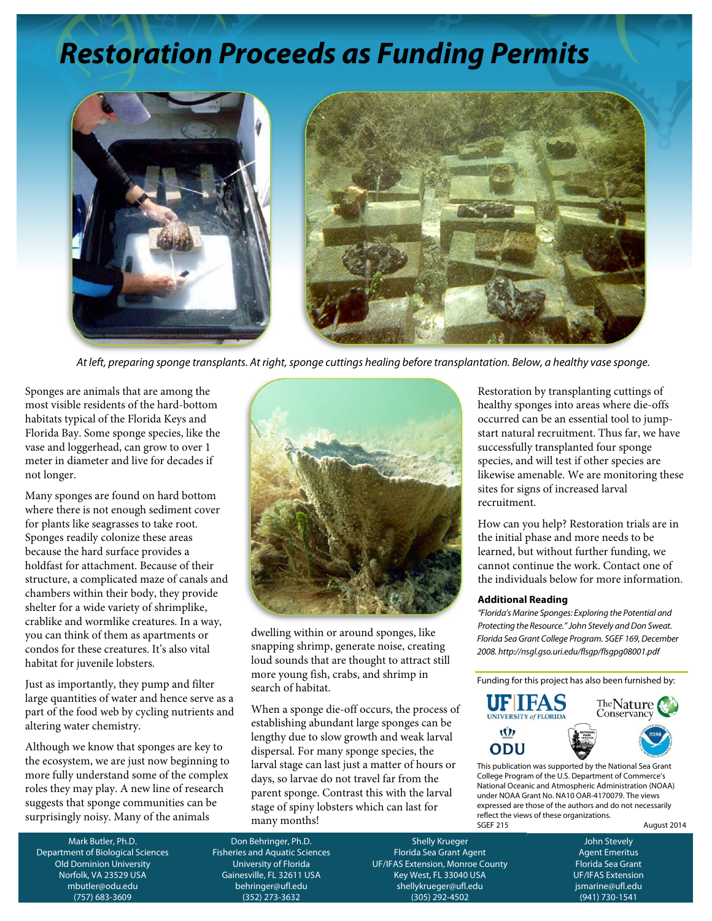# **Restoration Proceeds as Funding Permits**



At left, preparing sponge transplants. At right, sponge cuttings healing before transplantation. Below, a healthy vase sponge.

Sponges are animals that are among the most visible residents of the hard-bottom habitats typical of the Florida Keys and Florida Bay. Some sponge species, like the vase and loggerhead, can grow to over 1 meter in diameter and live for decades if not longer.

Many sponges are found on hard bottom where there is not enough sediment cover for plants like seagrasses to take root. Sponges readily colonize these areas because the hard surface provides a holdfast for attachment. Because of their structure, a complicated maze of canals and chambers within their body, they provide shelter for a wide variety of shrimplike, crablike and wormlike creatures. In a way, you can think of them as apartments or condos for these creatures. It's also vital habitat for juvenile lobsters.

Just as importantly, they pump and filter large quantities of water and hence serve as a part of the food web by cycling nutrients and altering water chemistry.

Although we know that sponges are key to the ecosystem, we are just now beginning to more fully understand some of the complex roles they may play. A new line of research suggests that sponge communities can be surprisingly noisy. Many of the animals



dwelling within or around sponges, like snapping shrimp, generate noise, creating loud sounds that are thought to attract still more young fish, crabs, and shrimp in search of habitat.

When a sponge die-off occurs, the process of establishing abundant large sponges can be lengthy due to slow growth and weak larval dispersal. For many sponge species, the larval stage can last just a matter of hours or days, so larvae do not travel far from the parent sponge. Contrast this with the larval stage of spiny lobsters which can last for many months!

Restoration by transplanting cuttings of healthy sponges into areas where die-offs occurred can be an essential tool to jumpstart natural recruitment. Thus far, we have successfully transplanted four sponge species, and will test if other species are likewise amenable. We are monitoring these sites for signs of increased larval recruitment.

How can you help? Restoration trials are in the initial phase and more needs to be learned, but without further funding, we cannot continue the work. Contact one of the individuals below for more information.

#### **Additional Reading**

"Florida's Marine Sponges: Exploring the Potential and Protecting the Resource." John Stevely and Don Sweat. Florida Sea Grant College Program. SGEF 169, December 2008. http://nsgl.gso.uri.edu/flsgp/flsgpg08001.pdf

Funding for this project has also been furnished by:



This publication was supported by the National Sea Grant College Program of the U.S. Department of Commerce's National Oceanic and Atmospheric Administration (NOAA) under NOAA Grant No. NA10 OAR-4170079. The views expressed are those of the authors and do not necessarily reflect the views of these organizations.<br>SGFF 215

August 2014

Mark Butler, Ph.D. Department of Biological Sciences Old Dominion University Norfolk, VA 23529 USA mbutler@odu.edu (757) 683-3609

Don Behringer, Ph.D. Fisheries and Aquatic Sciences University of Florida Gainesville, FL 32611 USA behringer@ufl.edu (352) 273-3632

Shelly Krueger Florida Sea Grant Agent UF/IFAS Extension, Monroe County Key West, FL 33040 USA shellykrueger@ufl.edu (305) 292-4502

John Stevely Agent Emeritus Florida Sea Grant UF/IFAS Extension jsmarine@ufl.edu (941) 730-1541